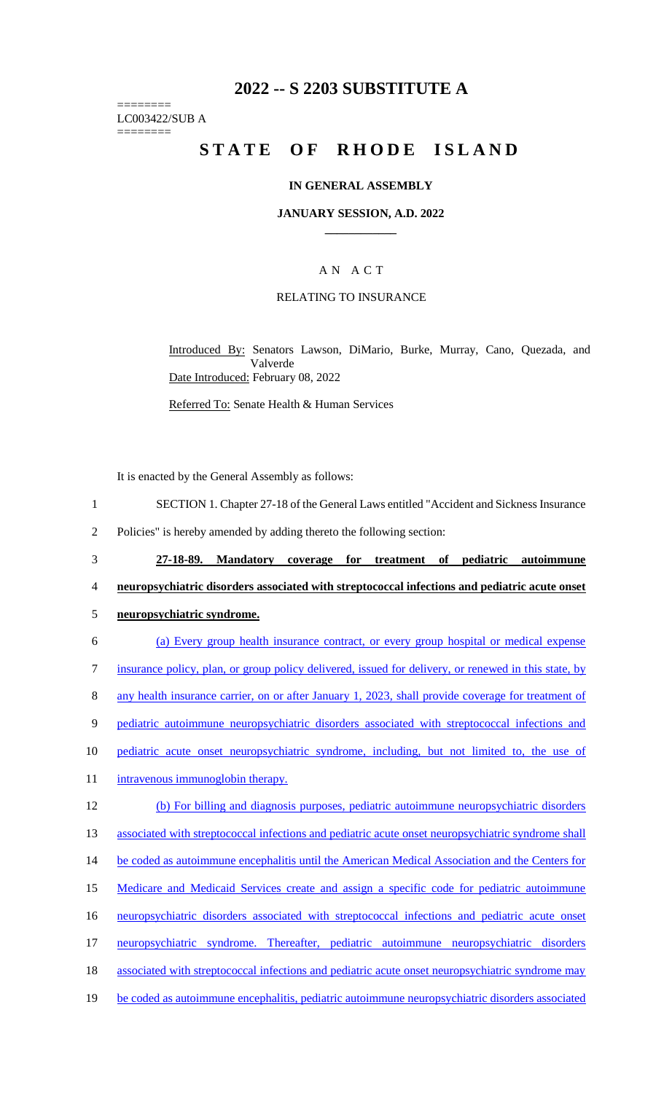## **2022 -- S 2203 SUBSTITUTE A**

======== LC003422/SUB A

========

# STATE OF RHODE ISLAND

#### **IN GENERAL ASSEMBLY**

#### **JANUARY SESSION, A.D. 2022 \_\_\_\_\_\_\_\_\_\_\_\_**

## A N A C T

#### RELATING TO INSURANCE

Introduced By: Senators Lawson, DiMario, Burke, Murray, Cano, Quezada, and Valverde Date Introduced: February 08, 2022

Referred To: Senate Health & Human Services

It is enacted by the General Assembly as follows:

- 1 SECTION 1. Chapter 27-18 of the General Laws entitled "Accident and Sickness Insurance
- 2 Policies" is hereby amended by adding thereto the following section:
- 3 **27-18-89. Mandatory coverage for treatment of pediatric autoimmune**  4 **neuropsychiatric disorders associated with streptococcal infections and pediatric acute onset**
- 5 **neuropsychiatric syndrome.**
- 6 (a) Every group health insurance contract, or every group hospital or medical expense 7 insurance policy, plan, or group policy delivered, issued for delivery, or renewed in this state, by 8 any health insurance carrier, on or after January 1, 2023, shall provide coverage for treatment of 9 pediatric autoimmune neuropsychiatric disorders associated with streptococcal infections and 10 pediatric acute onset neuropsychiatric syndrome, including, but not limited to, the use of 11 intravenous immunoglobin therapy. 12 (b) For billing and diagnosis purposes, pediatric autoimmune neuropsychiatric disorders 13 associated with streptococcal infections and pediatric acute onset neuropsychiatric syndrome shall 14 be coded as autoimmune encephalitis until the American Medical Association and the Centers for 15 Medicare and Medicaid Services create and assign a specific code for pediatric autoimmune 16 neuropsychiatric disorders associated with streptococcal infections and pediatric acute onset 17 neuropsychiatric syndrome. Thereafter, pediatric autoimmune neuropsychiatric disorders 18 associated with streptococcal infections and pediatric acute onset neuropsychiatric syndrome may
- 19 be coded as autoimmune encephalitis, pediatric autoimmune neuropsychiatric disorders associated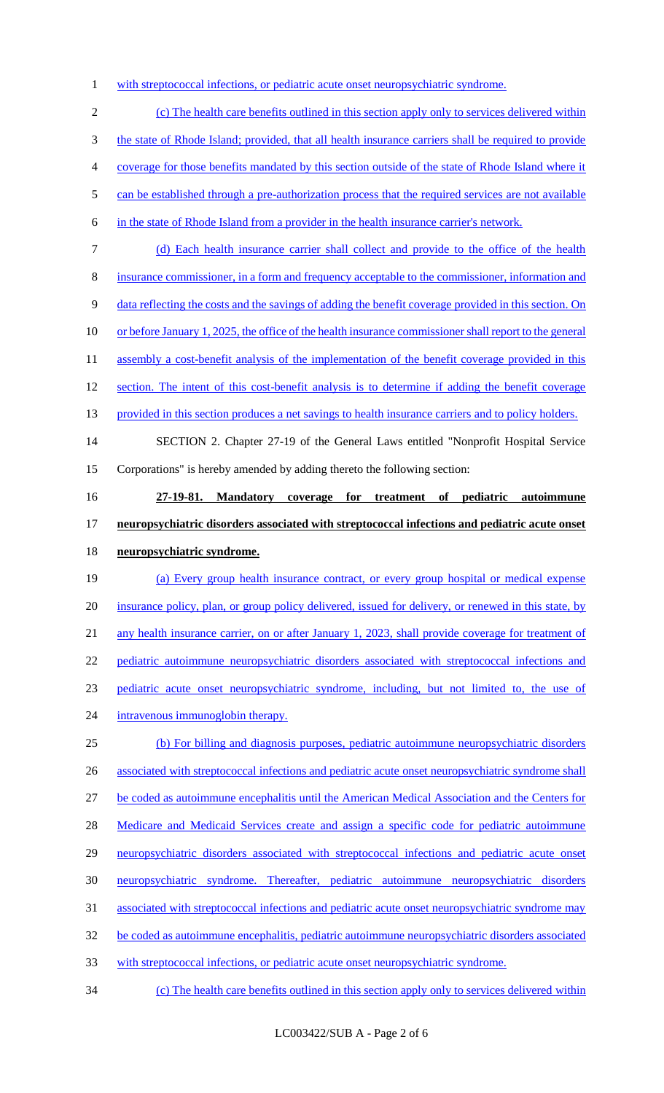1 with streptococcal infections, or pediatric acute onset neuropsychiatric syndrome.

 (c) The health care benefits outlined in this section apply only to services delivered within the state of Rhode Island; provided, that all health insurance carriers shall be required to provide coverage for those benefits mandated by this section outside of the state of Rhode Island where it 5 can be established through a pre-authorization process that the required services are not available in the state of Rhode Island from a provider in the health insurance carrier's network. (d) Each health insurance carrier shall collect and provide to the office of the health

insurance commissioner, in a form and frequency acceptable to the commissioner, information and

data reflecting the costs and the savings of adding the benefit coverage provided in this section. On

10 or before January 1, 2025, the office of the health insurance commissioner shall report to the general

11 assembly a cost-benefit analysis of the implementation of the benefit coverage provided in this

12 section. The intent of this cost-benefit analysis is to determine if adding the benefit coverage

13 provided in this section produces a net savings to health insurance carriers and to policy holders.

 SECTION 2. Chapter 27-19 of the General Laws entitled "Nonprofit Hospital Service Corporations" is hereby amended by adding thereto the following section:

**27-19-81. Mandatory coverage for treatment of pediatric autoimmune** 

**neuropsychiatric disorders associated with streptococcal infections and pediatric acute onset** 

#### **neuropsychiatric syndrome.**

 (a) Every group health insurance contract, or every group hospital or medical expense insurance policy, plan, or group policy delivered, issued for delivery, or renewed in this state, by any health insurance carrier, on or after January 1, 2023, shall provide coverage for treatment of pediatric autoimmune neuropsychiatric disorders associated with streptococcal infections and pediatric acute onset neuropsychiatric syndrome, including, but not limited to, the use of 24 intravenous immunoglobin therapy. (b) For billing and diagnosis purposes, pediatric autoimmune neuropsychiatric disorders 26 associated with streptococcal infections and pediatric acute onset neuropsychiatric syndrome shall

be coded as autoimmune encephalitis until the American Medical Association and the Centers for

28 Medicare and Medicaid Services create and assign a specific code for pediatric autoimmune

neuropsychiatric disorders associated with streptococcal infections and pediatric acute onset

neuropsychiatric syndrome. Thereafter, pediatric autoimmune neuropsychiatric disorders

associated with streptococcal infections and pediatric acute onset neuropsychiatric syndrome may

be coded as autoimmune encephalitis, pediatric autoimmune neuropsychiatric disorders associated

with streptococcal infections, or pediatric acute onset neuropsychiatric syndrome.

(c) The health care benefits outlined in this section apply only to services delivered within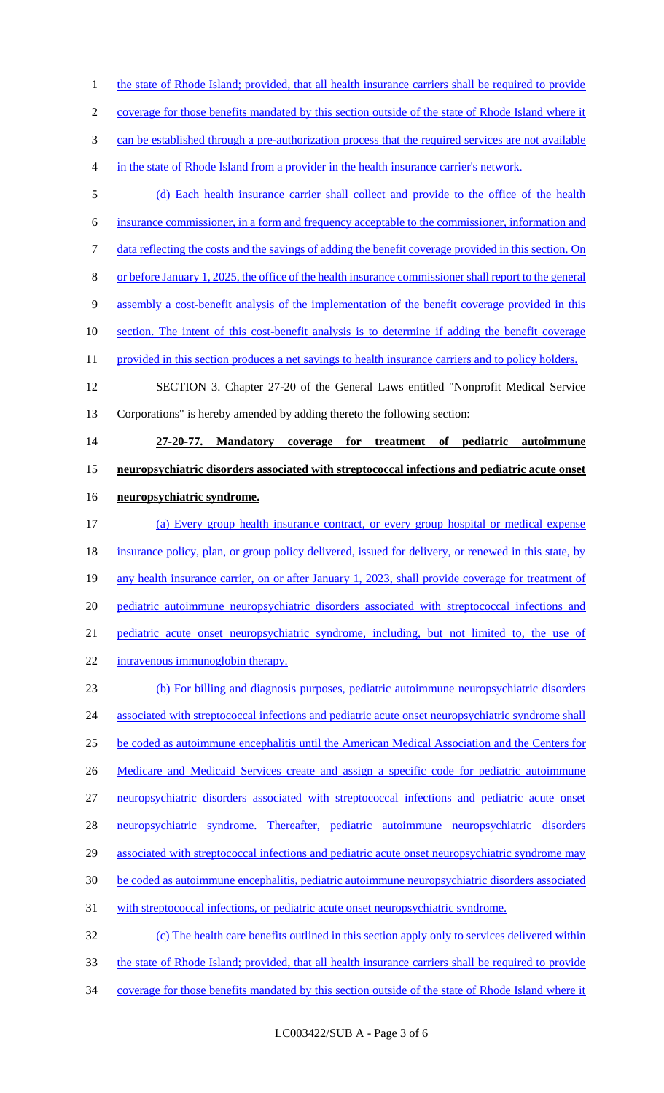1 the state of Rhode Island; provided, that all health insurance carriers shall be required to provide

coverage for those benefits mandated by this section outside of the state of Rhode Island where it

can be established through a pre-authorization process that the required services are not available

- in the state of Rhode Island from a provider in the health insurance carrier's network.
- (d) Each health insurance carrier shall collect and provide to the office of the health

insurance commissioner, in a form and frequency acceptable to the commissioner, information and

data reflecting the costs and the savings of adding the benefit coverage provided in this section. On

or before January 1, 2025, the office of the health insurance commissioner shall report to the general

assembly a cost-benefit analysis of the implementation of the benefit coverage provided in this

10 section. The intent of this cost-benefit analysis is to determine if adding the benefit coverage

11 provided in this section produces a net savings to health insurance carriers and to policy holders.

 SECTION 3. Chapter 27-20 of the General Laws entitled "Nonprofit Medical Service Corporations" is hereby amended by adding thereto the following section:

 **27-20-77. Mandatory coverage for treatment of pediatric autoimmune neuropsychiatric disorders associated with streptococcal infections and pediatric acute onset neuropsychiatric syndrome.** 

- (a) Every group health insurance contract, or every group hospital or medical expense 18 insurance policy, plan, or group policy delivered, issued for delivery, or renewed in this state, by 19 any health insurance carrier, on or after January 1, 2023, shall provide coverage for treatment of pediatric autoimmune neuropsychiatric disorders associated with streptococcal infections and pediatric acute onset neuropsychiatric syndrome, including, but not limited to, the use of 22 intravenous immunoglobin therapy.
- (b) For billing and diagnosis purposes, pediatric autoimmune neuropsychiatric disorders 24 associated with streptococcal infections and pediatric acute onset neuropsychiatric syndrome shall be coded as autoimmune encephalitis until the American Medical Association and the Centers for 26 Medicare and Medicaid Services create and assign a specific code for pediatric autoimmune neuropsychiatric disorders associated with streptococcal infections and pediatric acute onset neuropsychiatric syndrome. Thereafter, pediatric autoimmune neuropsychiatric disorders 29 associated with streptococcal infections and pediatric acute onset neuropsychiatric syndrome may be coded as autoimmune encephalitis, pediatric autoimmune neuropsychiatric disorders associated with streptococcal infections, or pediatric acute onset neuropsychiatric syndrome. (c) The health care benefits outlined in this section apply only to services delivered within
- the state of Rhode Island; provided, that all health insurance carriers shall be required to provide
- coverage for those benefits mandated by this section outside of the state of Rhode Island where it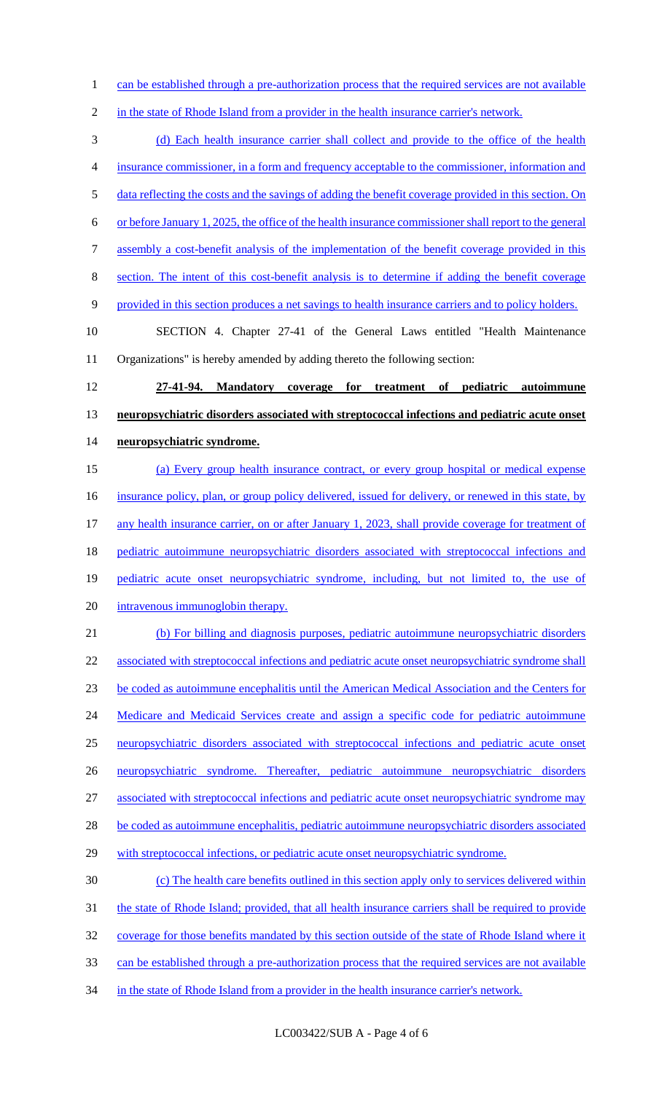can be established through a pre-authorization process that the required services are not available

2 in the state of Rhode Island from a provider in the health insurance carrier's network.

(d) Each health insurance carrier shall collect and provide to the office of the health

insurance commissioner, in a form and frequency acceptable to the commissioner, information and

5 data reflecting the costs and the savings of adding the benefit coverage provided in this section. On

or before January 1, 2025, the office of the health insurance commissioner shall report to the general

assembly a cost-benefit analysis of the implementation of the benefit coverage provided in this

section. The intent of this cost-benefit analysis is to determine if adding the benefit coverage

provided in this section produces a net savings to health insurance carriers and to policy holders.

 SECTION 4. Chapter 27-41 of the General Laws entitled "Health Maintenance Organizations" is hereby amended by adding thereto the following section:

 **27-41-94. Mandatory coverage for treatment of pediatric autoimmune neuropsychiatric disorders associated with streptococcal infections and pediatric acute onset neuropsychiatric syndrome.** 

 (a) Every group health insurance contract, or every group hospital or medical expense 16 insurance policy, plan, or group policy delivered, issued for delivery, or renewed in this state, by 17 any health insurance carrier, on or after January 1, 2023, shall provide coverage for treatment of 18 pediatric autoimmune neuropsychiatric disorders associated with streptococcal infections and 19 pediatric acute onset neuropsychiatric syndrome, including, but not limited to, the use of intravenous immunoglobin therapy. (b) For billing and diagnosis purposes, pediatric autoimmune neuropsychiatric disorders 22 associated with streptococcal infections and pediatric acute onset neuropsychiatric syndrome shall

 be coded as autoimmune encephalitis until the American Medical Association and the Centers for 24 Medicare and Medicaid Services create and assign a specific code for pediatric autoimmune

neuropsychiatric disorders associated with streptococcal infections and pediatric acute onset

neuropsychiatric syndrome. Thereafter, pediatric autoimmune neuropsychiatric disorders

associated with streptococcal infections and pediatric acute onset neuropsychiatric syndrome may

28 be coded as autoimmune encephalitis, pediatric autoimmune neuropsychiatric disorders associated

29 with streptococcal infections, or pediatric acute onset neuropsychiatric syndrome.

 (c) The health care benefits outlined in this section apply only to services delivered within the state of Rhode Island; provided, that all health insurance carriers shall be required to provide coverage for those benefits mandated by this section outside of the state of Rhode Island where it

can be established through a pre-authorization process that the required services are not available

34 in the state of Rhode Island from a provider in the health insurance carrier's network.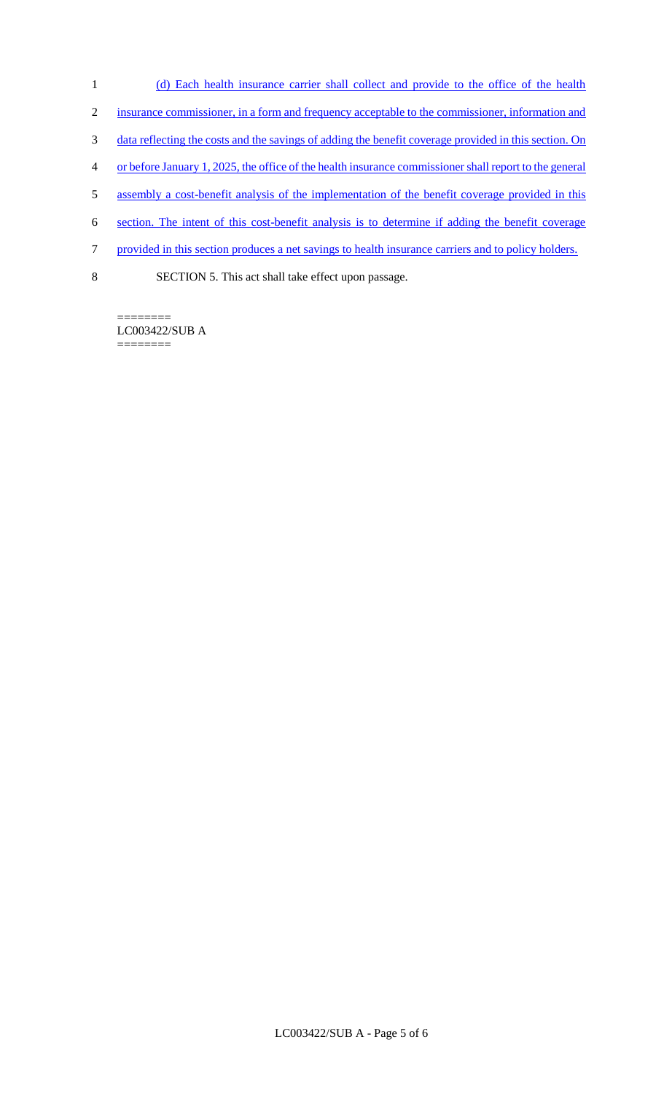- 1 (d) Each health insurance carrier shall collect and provide to the office of the health
- 2 insurance commissioner, in a form and frequency acceptable to the commissioner, information and
- 3 data reflecting the costs and the savings of adding the benefit coverage provided in this section. On
- 4 or before January 1, 2025, the office of the health insurance commissioner shall report to the general
- 5 assembly a cost-benefit analysis of the implementation of the benefit coverage provided in this
- 6 section. The intent of this cost-benefit analysis is to determine if adding the benefit coverage
- 7 provided in this section produces a net savings to health insurance carriers and to policy holders.
- 8 SECTION 5. This act shall take effect upon passage.

======== LC003422/SUB A ========